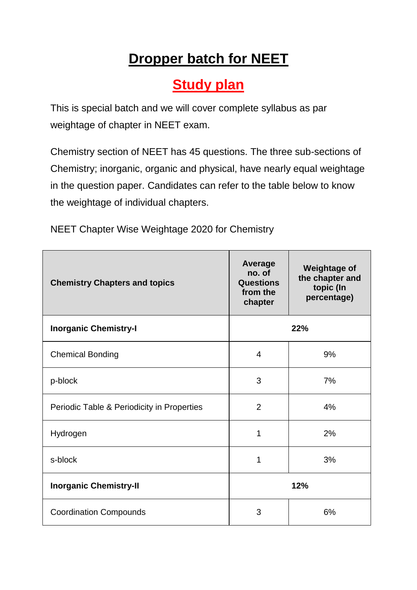## **Dropper batch for NEET**

## **Study plan**

This is special batch and we will cover complete syllabus as par weightage of chapter in NEET exam.

Chemistry section of NEET has 45 questions. The three sub-sections of Chemistry; inorganic, organic and physical, have nearly equal weightage in the question paper. Candidates can refer to the table below to know the weightage of individual chapters.

NEET Chapter Wise Weightage 2020 for Chemistry

| <b>Chemistry Chapters and topics</b>       | Average<br>no. of<br><b>Questions</b><br>from the<br>chapter | <b>Weightage of</b><br>the chapter and<br>topic (In<br>percentage) |
|--------------------------------------------|--------------------------------------------------------------|--------------------------------------------------------------------|
| <b>Inorganic Chemistry-I</b>               | 22%                                                          |                                                                    |
| <b>Chemical Bonding</b>                    | 4                                                            | 9%                                                                 |
| p-block                                    | 3                                                            | 7%                                                                 |
| Periodic Table & Periodicity in Properties | $\overline{2}$                                               | 4%                                                                 |
| Hydrogen                                   | 1                                                            | 2%                                                                 |
| s-block                                    | 1                                                            | 3%                                                                 |
| <b>Inorganic Chemistry-II</b>              | 12%                                                          |                                                                    |
| <b>Coordination Compounds</b>              | 3                                                            | 6%                                                                 |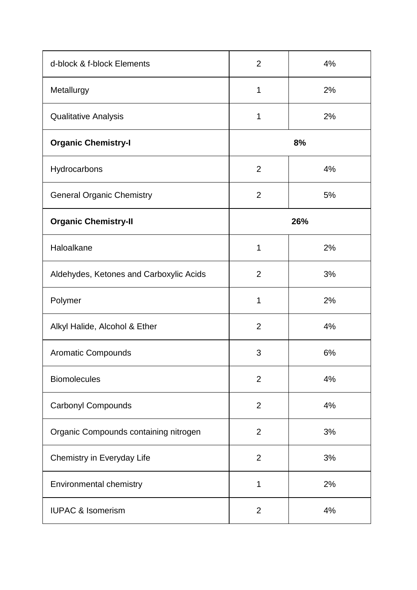| d-block & f-block Elements              | $\overline{2}$ | 4% |
|-----------------------------------------|----------------|----|
| Metallurgy                              | 1              | 2% |
| <b>Qualitative Analysis</b>             | 1              | 2% |
| <b>Organic Chemistry-I</b>              | 8%             |    |
| Hydrocarbons                            | $\overline{2}$ | 4% |
| <b>General Organic Chemistry</b>        | $\overline{2}$ | 5% |
| <b>Organic Chemistry-II</b>             | 26%            |    |
| Haloalkane                              | 1              | 2% |
| Aldehydes, Ketones and Carboxylic Acids | $\overline{2}$ | 3% |
| Polymer                                 | $\mathbf 1$    | 2% |
| Alkyl Halide, Alcohol & Ether           | $\overline{2}$ | 4% |
| <b>Aromatic Compounds</b>               | 3              | 6% |
| <b>Biomolecules</b>                     | $\overline{2}$ | 4% |
| <b>Carbonyl Compounds</b>               | $\overline{2}$ | 4% |
| Organic Compounds containing nitrogen   | $\overline{2}$ | 3% |
| Chemistry in Everyday Life              | $\overline{2}$ | 3% |
| Environmental chemistry                 | 1              | 2% |
| <b>IUPAC &amp; Isomerism</b>            | $\overline{2}$ | 4% |